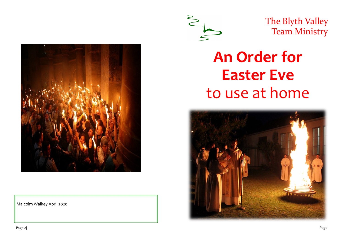

Malcolm Walkey April 2020



The Blyth Valley Team Ministry

# **An Order for Easter Eve** to use at home